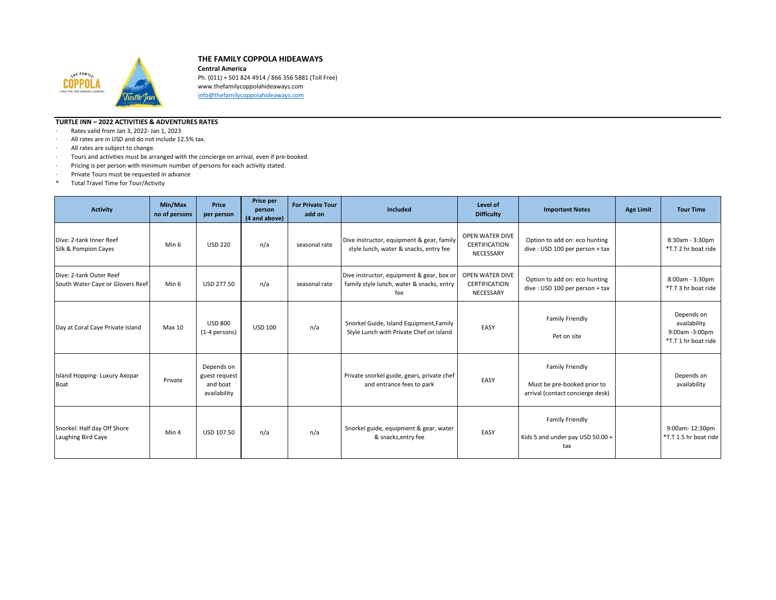

## **THE FAMILY COPPOLA HIDEAWAYS**

**Central America** Ph. (011) + 501 824 4914 / 866 356 5881 (Toll Free) www.thefamilycoppolahideaways.com [info@thefamilycoppolahideaways.com](mailto:info@thefamilycoppolahideaways.com)

## **TURTLE INN – 2022 ACTIVITIES & ADVENTURES RATES**

- · Rates valid from Jan 3, 2022- Jan 1, 2023
- · All rates are in USD and do not include 12.5% tax.
- · All rates are subject to change.
- · Tours and activities must be arranged with the concierge on arrival, even if pre-booked.
- · Pricing is per person with minimum number of persons for each activity stated.
- · Private Tours must be requested in advance
- \* Total Travel Time for Tour/Activity

| <b>Activity</b>                                             | Min/Max<br>no of persons | Price<br>per person                                     | Price per<br>person<br>(4 and above) | <b>For Private Tour</b><br>add on | <b>Included</b>                                                                               | Level of<br><b>Difficulty</b>                        | <b>Important Notes</b>                                                             | <b>Age Limit</b> | <b>Tour Time</b>                                                    |
|-------------------------------------------------------------|--------------------------|---------------------------------------------------------|--------------------------------------|-----------------------------------|-----------------------------------------------------------------------------------------------|------------------------------------------------------|------------------------------------------------------------------------------------|------------------|---------------------------------------------------------------------|
| Dive: 2-tank Inner Reef<br>Silk & Pompion Cayes             | Min 6                    | <b>USD 220</b>                                          | n/a                                  | seasonal rate                     | Dive instructor, equipment & gear, family<br>style lunch, water & snacks, entry fee           | OPEN WATER DIVE<br><b>CERTIFICATION</b><br>NECESSARY | Option to add on: eco hunting<br>dive: USD 100 per person + tax                    |                  | 8:30am - 3:30pm<br>*T.T 2 hr boat ride                              |
| Dive: 2-tank Outer Reef<br>South Water Caye or Glovers Reef | Min 6                    | USD 277.50                                              | n/a                                  | seasonal rate                     | Dive instructor, equipment & gear, box or<br>family style lunch, water & snacks, entry<br>fee | OPEN WATER DIVE<br><b>CERTIFICATION</b><br>NECESSARY | Option to add on: eco hunting<br>dive: USD 100 per person + tax                    |                  | 8:00am - 3:30pm<br>*T.T 3 hr boat ride                              |
| Day at Coral Caye Private Island                            | Max 10                   | <b>USD 800</b><br>(1-4 persons)                         | <b>USD 100</b>                       | n/a                               | Snorkel Guide, Island Equipment, Family<br>Style Lunch with Private Chef on island            | EASY                                                 | Family Friendly<br>Pet on site                                                     |                  | Depends on<br>availability<br>9:00am -3:00pm<br>*T.T 1 hr boat ride |
| Island Hopping-Luxury Axopar<br>Boat                        | Private                  | Depends on<br>guest request<br>and boat<br>availability |                                      |                                   | Private snorkel guide, gears, private chef<br>and entrance fees to park                       | EASY                                                 | Family Friendly<br>Must be pre-booked prior to<br>arrival (contact concierge desk) |                  | Depends on<br>availability                                          |
| Snorkel: Half day Off Shore<br>Laughing Bird Caye           | Min 4                    | USD 107.50                                              | n/a                                  | n/a                               | Snorkel guide, equipment & gear, water<br>& snacks, entry fee                                 | EASY                                                 | Family Friendly<br>Kids 5 and under pay USD 50.00 +<br>tax                         |                  | 9:00am-12:30pm<br>*T.T 1.5 hr boat ride                             |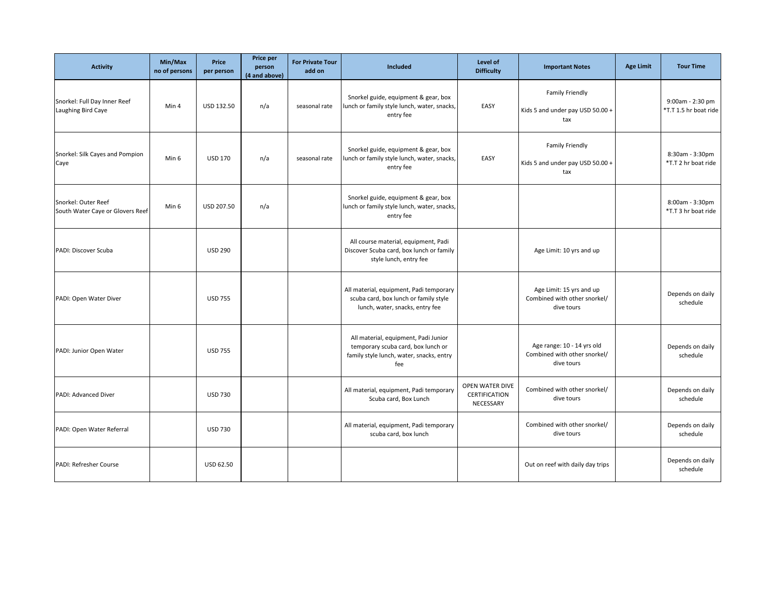| <b>Activity</b>                                         | Min/Max<br>no of persons | Price<br>per person | Price per<br>person<br>(4 and above) | <b>For Private Tour</b><br>add on | Included                                                                                                                      | Level of<br><b>Difficulty</b>                        | <b>Important Notes</b>                                                   | <b>Age Limit</b> | <b>Tour Time</b>                          |
|---------------------------------------------------------|--------------------------|---------------------|--------------------------------------|-----------------------------------|-------------------------------------------------------------------------------------------------------------------------------|------------------------------------------------------|--------------------------------------------------------------------------|------------------|-------------------------------------------|
| Snorkel: Full Day Inner Reef<br>Laughing Bird Caye      | Min 4                    | USD 132.50          | n/a                                  | seasonal rate                     | Snorkel guide, equipment & gear, box<br>lunch or family style lunch, water, snacks,<br>entry fee                              | EASY                                                 | Family Friendly<br>Kids 5 and under pay USD 50.00 +<br>tax               |                  | 9:00am - 2:30 pm<br>*T.T 1.5 hr boat ride |
| Snorkel: Silk Cayes and Pompion<br>Caye                 | Min 6                    | <b>USD 170</b>      | n/a                                  | seasonal rate                     | Snorkel guide, equipment & gear, box<br>lunch or family style lunch, water, snacks,<br>entry fee                              | EASY                                                 | Family Friendly<br>Kids 5 and under pay USD 50.00 +<br>tax               |                  | 8:30am - 3:30pm<br>*T.T 2 hr boat ride    |
| Snorkel: Outer Reef<br>South Water Caye or Glovers Reef | Min 6                    | USD 207.50          | n/a                                  |                                   | Snorkel guide, equipment & gear, box<br>lunch or family style lunch, water, snacks,<br>entry fee                              |                                                      |                                                                          |                  | 8:00am - 3:30pm<br>*T.T 3 hr boat ride    |
| PADI: Discover Scuba                                    |                          | <b>USD 290</b>      |                                      |                                   | All course material, equipment, Padi<br>Discover Scuba card, box lunch or family<br>style lunch, entry fee                    |                                                      | Age Limit: 10 yrs and up                                                 |                  |                                           |
| PADI: Open Water Diver                                  |                          | <b>USD 755</b>      |                                      |                                   | All material, equipment, Padi temporary<br>scuba card, box lunch or family style<br>lunch, water, snacks, entry fee           |                                                      | Age Limit: 15 yrs and up<br>Combined with other snorkel/<br>dive tours   |                  | Depends on daily<br>schedule              |
| PADI: Junior Open Water                                 |                          | <b>USD 755</b>      |                                      |                                   | All material, equipment, Padi Junior<br>temporary scuba card, box lunch or<br>family style lunch, water, snacks, entry<br>fee |                                                      | Age range: 10 - 14 yrs old<br>Combined with other snorkel/<br>dive tours |                  | Depends on daily<br>schedule              |
| PADI: Advanced Diver                                    |                          | <b>USD 730</b>      |                                      |                                   | All material, equipment, Padi temporary<br>Scuba card, Box Lunch                                                              | OPEN WATER DIVE<br><b>CERTIFICATION</b><br>NECESSARY | Combined with other snorkel/<br>dive tours                               |                  | Depends on daily<br>schedule              |
| PADI: Open Water Referral                               |                          | <b>USD 730</b>      |                                      |                                   | All material, equipment, Padi temporary<br>scuba card, box lunch                                                              |                                                      | Combined with other snorkel/<br>dive tours                               |                  | Depends on daily<br>schedule              |
| PADI: Refresher Course                                  |                          | USD 62.50           |                                      |                                   |                                                                                                                               |                                                      | Out on reef with daily day trips                                         |                  | Depends on daily<br>schedule              |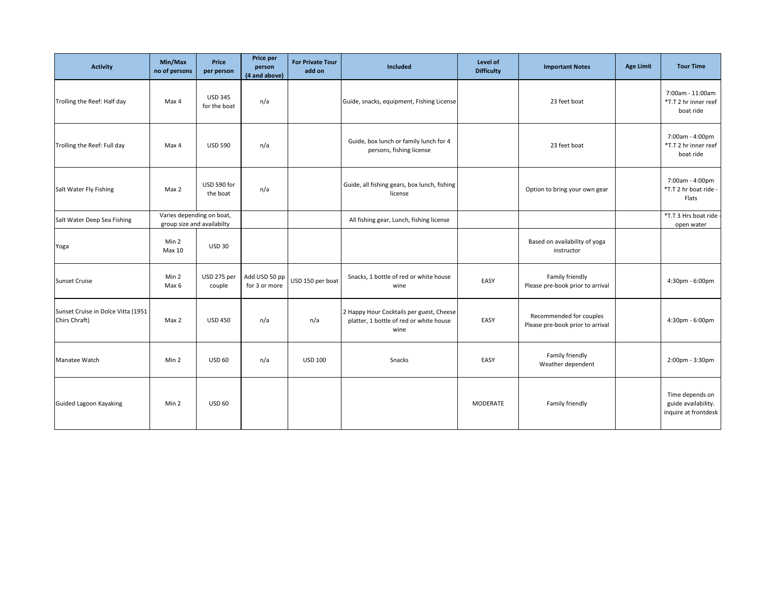| <b>Activity</b>                                     | Min/Max<br>no of persons                                | Price<br>per person            | <b>Price per</b><br>person<br>(4 and above) | <b>For Private Tour</b><br>add on | Included                                                                                    | Level of<br><b>Difficulty</b> | <b>Important Notes</b>                                      | <b>Age Limit</b> | <b>Tour Time</b>                                               |
|-----------------------------------------------------|---------------------------------------------------------|--------------------------------|---------------------------------------------|-----------------------------------|---------------------------------------------------------------------------------------------|-------------------------------|-------------------------------------------------------------|------------------|----------------------------------------------------------------|
| Trolling the Reef: Half day                         | Max 4                                                   | <b>USD 345</b><br>for the boat | n/a                                         |                                   | Guide, snacks, equipment, Fishing License                                                   |                               | 23 feet boat                                                |                  | 7:00am - 11:00am<br>*T.T 2 hr inner reef<br>boat ride          |
| Trolling the Reef: Full day                         | Max 4                                                   | <b>USD 590</b>                 | n/a                                         |                                   | Guide, box lunch or family lunch for 4<br>persons, fishing license                          |                               | 23 feet boat                                                |                  | 7:00am - 4:00pm<br>*T.T 2 hr inner reef<br>boat ride           |
| Salt Water Fly Fishing                              | Max 2                                                   | USD 590 for<br>the boat        | n/a                                         |                                   | Guide, all fishing gears, box lunch, fishing<br>license                                     |                               | Option to bring your own gear                               |                  | 7:00am - 4:00pm<br>*T.T 2 hr boat ride -<br>Flats              |
| Salt Water Deep Sea Fishing                         | Varies depending on boat,<br>group size and availabilty |                                |                                             |                                   | All fishing gear, Lunch, fishing license                                                    |                               |                                                             |                  | *T.T 3 Hrs boat ride<br>open water                             |
| Yoga                                                | Min 2<br>Max 10                                         | <b>USD 30</b>                  |                                             |                                   |                                                                                             |                               | Based on availability of yoga<br>instructor                 |                  |                                                                |
| Sunset Cruise                                       | Min 2<br>Max 6                                          | USD 275 per<br>couple          | Add USD 50 pp<br>for 3 or more              | USD 150 per boat                  | Snacks, 1 bottle of red or white house<br>wine                                              | EASY                          | Family friendly<br>Please pre-book prior to arrival         |                  | 4:30pm - 6:00pm                                                |
| Sunset Cruise in Dolce Vitta (1951<br>Chirs Chraft) | Max 2                                                   | <b>USD 450</b>                 | n/a                                         | n/a                               | 2 Happy Hour Cocktails per guest, Cheese<br>platter, 1 bottle of red or white house<br>wine | EASY                          | Recommended for couples<br>Please pre-book prior to arrival |                  | 4:30pm - 6:00pm                                                |
| Manatee Watch                                       | Min 2                                                   | <b>USD 60</b>                  | n/a                                         | <b>USD 100</b>                    | Snacks                                                                                      | EASY                          | Family friendly<br>Weather dependent                        |                  | 2:00pm - 3:30pm                                                |
| Guided Lagoon Kayaking                              | Min 2                                                   | <b>USD 60</b>                  |                                             |                                   |                                                                                             | MODERATE                      | Family friendly                                             |                  | Time depends on<br>guide availability.<br>inquire at frontdesk |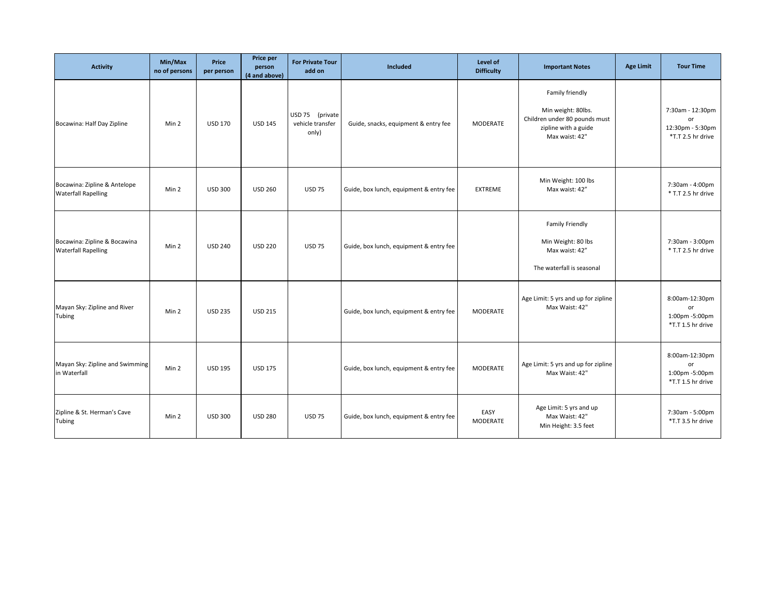| <b>Activity</b>                                            | Min/Max<br>no of persons | Price<br>per person | Price per<br>person<br>(4 and above) | <b>For Private Tour</b><br>add on            | Included                                | Level of<br><b>Difficulty</b> | <b>Important Notes</b>                                                                                           | <b>Age Limit</b> | <b>Tour Time</b>                                                |
|------------------------------------------------------------|--------------------------|---------------------|--------------------------------------|----------------------------------------------|-----------------------------------------|-------------------------------|------------------------------------------------------------------------------------------------------------------|------------------|-----------------------------------------------------------------|
| Bocawina: Half Day Zipline                                 | Min 2                    | <b>USD 170</b>      | <b>USD 145</b>                       | USD 75 (private<br>vehicle transfer<br>only) | Guide, snacks, equipment & entry fee    | <b>MODERATE</b>               | Family friendly<br>Min weight: 80lbs.<br>Children under 80 pounds must<br>zipline with a guide<br>Max waist: 42" |                  | 7:30am - 12:30pm<br>or<br>12:30pm - 5:30pm<br>*T.T 2.5 hr drive |
| Bocawina: Zipline & Antelope<br><b>Waterfall Rapelling</b> | Min 2                    | <b>USD 300</b>      | <b>USD 260</b>                       | <b>USD 75</b>                                | Guide, box lunch, equipment & entry fee | <b>EXTREME</b>                | Min Weight: 100 lbs<br>Max waist: 42"                                                                            |                  | 7:30am - 4:00pm<br>* T.T 2.5 hr drive                           |
| Bocawina: Zipline & Bocawina<br><b>Waterfall Rapelling</b> | Min 2                    | <b>USD 240</b>      | <b>USD 220</b>                       | <b>USD 75</b>                                | Guide, box lunch, equipment & entry fee |                               | Family Friendly<br>Min Weight: 80 lbs<br>Max waist: 42"<br>The waterfall is seasonal                             |                  | 7:30am - 3:00pm<br>* T.T 2.5 hr drive                           |
| Mayan Sky: Zipline and River<br>Tubing                     | Min 2                    | <b>USD 235</b>      | <b>USD 215</b>                       |                                              | Guide, box lunch, equipment & entry fee | <b>MODERATE</b>               | Age Limit: 5 yrs and up for zipline<br>Max Waist: 42"                                                            |                  | 8:00am-12:30pm<br>or<br>1:00pm -5:00pm<br>*T.T 1.5 hr drive     |
| Mayan Sky: Zipline and Swimming<br>in Waterfall            | Min 2                    | <b>USD 195</b>      | <b>USD 175</b>                       |                                              | Guide, box lunch, equipment & entry fee | MODERATE                      | Age Limit: 5 yrs and up for zipline<br>Max Waist: 42"                                                            |                  | 8:00am-12:30pm<br>or<br>1:00pm -5:00pm<br>*T.T 1.5 hr drive     |
| Zipline & St. Herman's Cave<br>Tubing                      | Min 2                    | <b>USD 300</b>      | <b>USD 280</b>                       | <b>USD 75</b>                                | Guide, box lunch, equipment & entry fee | EASY<br>MODERATE              | Age Limit: 5 yrs and up<br>Max Waist: 42"<br>Min Height: 3.5 feet                                                |                  | 7:30am - 5:00pm<br>*T.T 3.5 hr drive                            |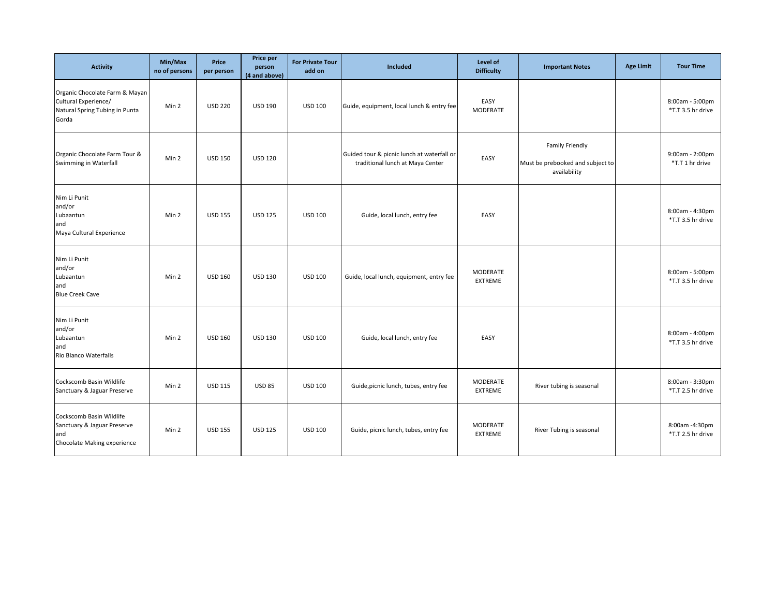| <b>Activity</b>                                                                                   | Min/Max<br>no of persons | <b>Price</b><br>per person | Price per<br>person<br>(4 and above) | <b>For Private Tour</b><br>add on | Included                                                                       | Level of<br><b>Difficulty</b> | <b>Important Notes</b>                                              | <b>Age Limit</b> | <b>Tour Time</b>                     |
|---------------------------------------------------------------------------------------------------|--------------------------|----------------------------|--------------------------------------|-----------------------------------|--------------------------------------------------------------------------------|-------------------------------|---------------------------------------------------------------------|------------------|--------------------------------------|
| Organic Chocolate Farm & Mayan<br>Cultural Experience/<br>Natural Spring Tubing in Punta<br>Gorda | Min 2                    | <b>USD 220</b>             | <b>USD 190</b>                       | <b>USD 100</b>                    | Guide, equipment, local lunch & entry fee                                      | EASY<br>MODERATE              |                                                                     |                  | 8:00am - 5:00pm<br>*T.T 3.5 hr drive |
| Organic Chocolate Farm Tour &<br>Swimming in Waterfall                                            | Min 2                    | <b>USD 150</b>             | <b>USD 120</b>                       |                                   | Guided tour & picnic lunch at waterfall or<br>traditional lunch at Maya Center | EASY                          | Family Friendly<br>Must be prebooked and subject to<br>availability |                  | $9:00am - 2:00pm$<br>*T.T 1 hr drive |
| Nim Li Punit<br>and/or<br>Lubaantun<br>and<br>Maya Cultural Experience                            | Min 2                    | <b>USD 155</b>             | <b>USD 125</b>                       | <b>USD 100</b>                    | Guide, local lunch, entry fee                                                  | EASY                          |                                                                     |                  | 8:00am - 4:30pm<br>*T.T 3.5 hr drive |
| Nim Li Punit<br>and/or<br>Lubaantun<br>and<br><b>Blue Creek Cave</b>                              | Min 2                    | <b>USD 160</b>             | <b>USD 130</b>                       | <b>USD 100</b>                    | Guide, local lunch, equipment, entry fee                                       | MODERATE<br><b>EXTREME</b>    |                                                                     |                  | 8:00am - 5:00pm<br>*T.T 3.5 hr drive |
| Nim Li Punit<br>and/or<br>Lubaantun<br>and<br>Rio Blanco Waterfalls                               | Min 2                    | <b>USD 160</b>             | <b>USD 130</b>                       | <b>USD 100</b>                    | Guide, local lunch, entry fee                                                  | EASY                          |                                                                     |                  | 8:00am - 4:00pm<br>*T.T 3.5 hr drive |
| Cockscomb Basin Wildlife<br>Sanctuary & Jaguar Preserve                                           | Min 2                    | <b>USD 115</b>             | <b>USD 85</b>                        | <b>USD 100</b>                    | Guide, picnic lunch, tubes, entry fee                                          | MODERATE<br>EXTREME           | River tubing is seasonal                                            |                  | 8:00am - 3:30pm<br>*T.T 2.5 hr drive |
| Cockscomb Basin Wildlife<br>Sanctuary & Jaguar Preserve<br>and<br>Chocolate Making experience     | Min 2                    | <b>USD 155</b>             | <b>USD 125</b>                       | <b>USD 100</b>                    | Guide, picnic lunch, tubes, entry fee                                          | MODERATE<br>EXTREME           | River Tubing is seasonal                                            |                  | 8:00am -4:30pm<br>*T.T 2.5 hr drive  |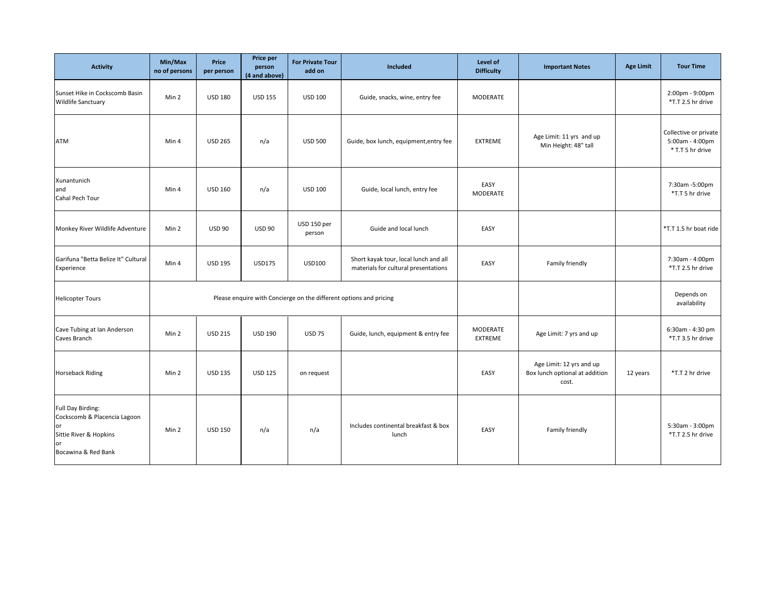| <b>Activity</b>                                                                                                | Min/Max<br>no of persons | Price<br>per person | Price per<br>person<br>(4 and above) | <b>For Private Tour</b><br>add on | Included                                                                      | Level of<br><b>Difficulty</b> | <b>Important Notes</b>                                              | <b>Age Limit</b> | <b>Tour Time</b>                                             |
|----------------------------------------------------------------------------------------------------------------|--------------------------|---------------------|--------------------------------------|-----------------------------------|-------------------------------------------------------------------------------|-------------------------------|---------------------------------------------------------------------|------------------|--------------------------------------------------------------|
| Sunset Hike in Cockscomb Basin<br><b>Wildlife Sanctuary</b>                                                    | Min 2                    | <b>USD 180</b>      | <b>USD 155</b>                       | <b>USD 100</b>                    | Guide, snacks, wine, entry fee                                                | MODERATE                      |                                                                     |                  | 2:00pm - 9:00pm<br>*T.T 2.5 hr drive                         |
| ATM                                                                                                            | Min 4                    | <b>USD 265</b>      | n/a                                  | <b>USD 500</b>                    | Guide, box lunch, equipment, entry fee                                        | <b>EXTREME</b>                | Age Limit: 11 yrs and up<br>Min Height: 48" tall                    |                  | Collective or private<br>5:00am - 4:00pm<br>* T.T 5 hr drive |
| Xunantunich<br>and<br>Cahal Pech Tour                                                                          | Min 4                    | <b>USD 160</b>      | n/a                                  | <b>USD 100</b>                    | Guide, local lunch, entry fee                                                 | EASY<br><b>MODERATE</b>       |                                                                     |                  | 7:30am -5:00pm<br>*T.T 5 hr drive                            |
| Monkey River Wildlife Adventure                                                                                | Min 2                    | <b>USD 90</b>       | <b>USD 90</b>                        | USD 150 per<br>person             | Guide and local lunch                                                         | EASY                          |                                                                     |                  | *T.T 1.5 hr boat ride                                        |
| Garifuna "Betta Belize It" Cultural<br>Experience                                                              | Min 4                    | <b>USD 195</b>      | <b>USD175</b>                        | <b>USD100</b>                     | Short kayak tour, local lunch and all<br>materials for cultural presentations | EASY                          | Family friendly                                                     |                  | 7:30am - 4:00pm<br>*T.T 2.5 hr drive                         |
| <b>Helicopter Tours</b>                                                                                        |                          |                     |                                      |                                   | Please enquire with Concierge on the different options and pricing            |                               |                                                                     |                  | Depends on<br>availability                                   |
| Cave Tubing at Ian Anderson<br>Caves Branch                                                                    | Min 2                    | <b>USD 215</b>      | <b>USD 190</b>                       | <b>USD 75</b>                     | Guide, lunch, equipment & entry fee                                           | MODERATE<br><b>EXTREME</b>    | Age Limit: 7 yrs and up                                             |                  | 6:30am - 4:30 pm<br>*T.T 3.5 hr drive                        |
| <b>Horseback Riding</b>                                                                                        | Min 2                    | <b>USD 135</b>      | <b>USD 125</b>                       | on request                        |                                                                               | EASY                          | Age Limit: 12 yrs and up<br>Box lunch optional at addition<br>cost. | 12 years         | *T.T 2 hr drive                                              |
| Full Day Birding:<br>Cockscomb & Placencia Lagoon<br>or<br>Sittie River & Hopkins<br>or<br>Bocawina & Red Bank | Min 2                    | <b>USD 150</b>      | n/a                                  | n/a                               | Includes continental breakfast & box<br>lunch                                 | EASY                          | Family friendly                                                     |                  | 5:30am - 3:00pm<br>*T.T 2.5 hr drive                         |